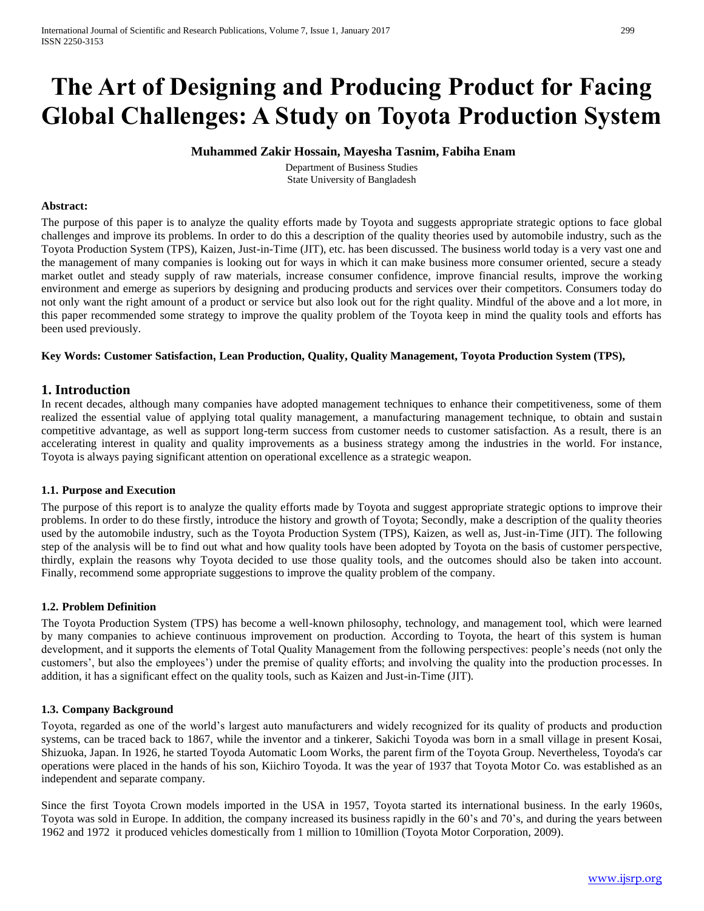# **The Art of Designing and Producing Product for Facing Global Challenges: A Study on Toyota Production System**

# **Muhammed Zakir Hossain, Mayesha Tasnim, Fabiha Enam**

Department of Business Studies State University of Bangladesh

#### **Abstract:**

The purpose of this paper is to analyze the quality efforts made by Toyota and suggests appropriate strategic options to face global challenges and improve its problems. In order to do this a description of the quality theories used by automobile industry, such as the Toyota Production System (TPS), Kaizen, Just-in-Time (JIT), etc. has been discussed. The business world today is a very vast one and the management of many companies is looking out for ways in which it can make business more consumer oriented, secure a steady market outlet and steady supply of raw materials, increase consumer confidence, improve financial results, improve the working environment and emerge as superiors by designing and producing products and services over their competitors. Consumers today do not only want the right amount of a product or service but also look out for the right quality. Mindful of the above and a lot more, in this paper recommended some strategy to improve the quality problem of the Toyota keep in mind the quality tools and efforts has been used previously.

#### **Key Words: Customer Satisfaction, Lean Production, Quality, Quality Management, Toyota Production System (TPS),**

# **1. Introduction**

In recent decades, although many companies have adopted management techniques to enhance their competitiveness, some of them realized the essential value of applying total quality management, a manufacturing management technique, to obtain and sustain competitive advantage, as well as support long-term success from customer needs to customer satisfaction. As a result, there is an accelerating interest in quality and quality improvements as a business strategy among the industries in the world. For instance, Toyota is always paying significant attention on operational excellence as a strategic weapon.

#### **1.1. Purpose and Execution**

The purpose of this report is to analyze the quality efforts made by Toyota and suggest appropriate strategic options to improve their problems. In order to do these firstly, introduce the history and growth of Toyota; Secondly, make a description of the quality theories used by the automobile industry, such as the Toyota Production System (TPS), Kaizen, as well as, Just-in-Time (JIT). The following step of the analysis will be to find out what and how quality tools have been adopted by Toyota on the basis of customer perspective, thirdly, explain the reasons why Toyota decided to use those quality tools, and the outcomes should also be taken into account. Finally, recommend some appropriate suggestions to improve the quality problem of the company.

## **1.2. Problem Definition**

The Toyota Production System (TPS) has become a well-known philosophy, technology, and management tool, which were learned by many companies to achieve continuous improvement on production. According to Toyota, the heart of this system is human development, and it supports the elements of Total Quality Management from the following perspectives: people's needs (not only the customers', but also the employees') under the premise of quality efforts; and involving the quality into the production processes. In addition, it has a significant effect on the quality tools, such as Kaizen and Just-in-Time (JIT).

#### **1.3. Company Background**

Toyota, regarded as one of the world's largest auto manufacturers and widely recognized for its quality of products and production systems, can be traced back to 1867, while the inventor and a tinkerer, Sakichi Toyoda was born in a small village in present Kosai, Shizuoka, Japan. In 1926, he started Toyoda Automatic Loom Works, the parent firm of the Toyota Group. Nevertheless, Toyoda's car operations were placed in the hands of his son, Kiichiro Toyoda. It was the year of 1937 that Toyota Motor Co. was established as an independent and separate company.

Since the first Toyota Crown models imported in the USA in 1957, Toyota started its international business. In the early 1960s, Toyota was sold in Europe. In addition, the company increased its business rapidly in the 60's and 70's, and during the years between 1962 and 1972 it produced vehicles domestically from 1 million to 10million (Toyota Motor Corporation, 2009).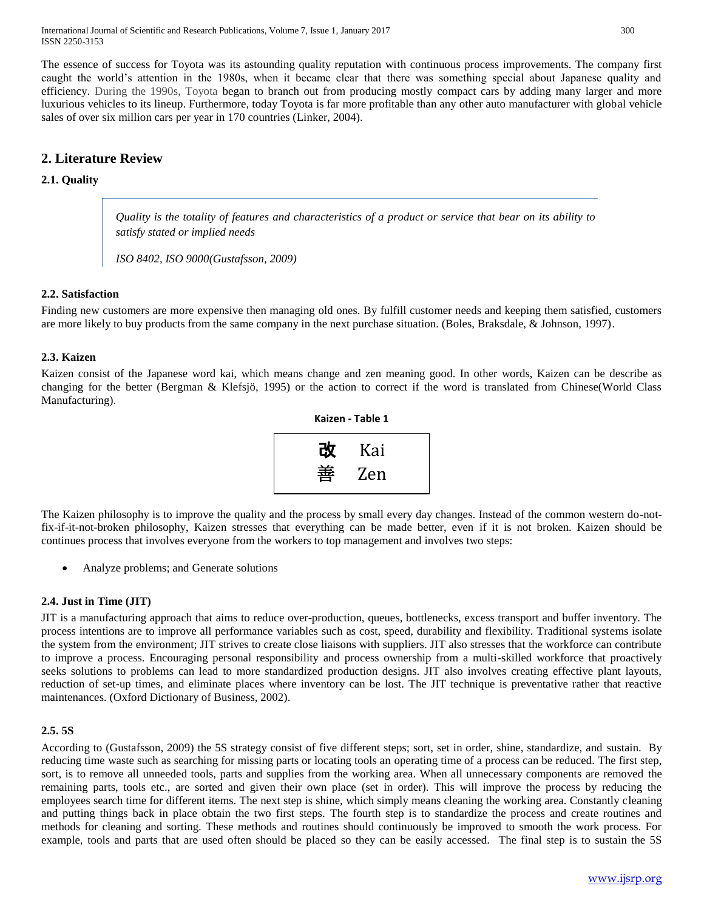International Journal of Scientific and Research Publications, Volume 7, Issue 1, January 2017 300 ISSN 2250-3153

The essence of success for Toyota was its astounding quality reputation with continuous process improvements. The company first caught the world's attention in the 1980s, when it became clear that there was something special about Japanese quality and efficiency. During the 1990s, Toyota began to branch out from producing mostly compact cars by adding many larger and more luxurious vehicles to its lineup. Furthermore, today Toyota is far more profitable than any other auto manufacturer with global vehicle sales of over six million cars per year in 170 countries (Linker, 2004).

# **2. Literature Review**

## **2.1. Quality**

*Quality is the totality of features and characteristics of a product or service that bear on its ability to satisfy stated or implied needs*

*ISO 8402, ISO 9000(Gustafsson, 2009)*

#### **2.2. Satisfaction**

Finding new customers are more expensive then managing old ones. By fulfill customer needs and keeping them satisfied, customers are more likely to buy products from the same company in the next purchase situation. (Boles, Braksdale, & Johnson, 1997).

#### **2.3. Kaizen**

Kaizen consist of the Japanese word kai, which means change and zen meaning good. In other words, Kaizen can be describe as changing for the better (Bergman & Klefsjö, 1995) or the action to correct if the word is translated from Chinese(World Class Manufacturing).

| Kaizen - Table 1 |     |  |
|------------------|-----|--|
| 改                | Kai |  |
| 垂                | Zen |  |

The Kaizen philosophy is to improve the quality and the process by small every day changes. Instead of the common western do-notfix-if-it-not-broken philosophy, Kaizen stresses that everything can be made better, even if it is not broken. Kaizen should be continues process that involves everyone from the workers to top management and involves two steps:

Analyze problems; and Generate solutions

#### **2.4. Just in Time (JIT)**

JIT is a manufacturing approach that aims to reduce over-production, queues, bottlenecks, excess transport and buffer inventory. The process intentions are to improve all performance variables such as cost, speed, durability and flexibility. Traditional systems isolate the system from the environment; JIT strives to create close liaisons with suppliers. JIT also stresses that the workforce can contribute to improve a process. Encouraging personal responsibility and process ownership from a multi-skilled workforce that proactively seeks solutions to problems can lead to more standardized production designs. JIT also involves creating effective plant layouts, reduction of set-up times, and eliminate places where inventory can be lost. The JIT technique is preventative rather that reactive maintenances. (Oxford Dictionary of Business, 2002).

#### **2.5. 5S**

According to (Gustafsson, 2009) the 5S strategy consist of five different steps; sort, set in order, shine, standardize, and sustain. By reducing time waste such as searching for missing parts or locating tools an operating time of a process can be reduced. The first step, sort, is to remove all unneeded tools, parts and supplies from the working area. When all unnecessary components are removed the remaining parts, tools etc., are sorted and given their own place (set in order). This will improve the process by reducing the employees search time for different items. The next step is shine, which simply means cleaning the working area. Constantly cleaning and putting things back in place obtain the two first steps. The fourth step is to standardize the process and create routines and methods for cleaning and sorting. These methods and routines should continuously be improved to smooth the work process. For example, tools and parts that are used often should be placed so they can be easily accessed. The final step is to sustain the 5S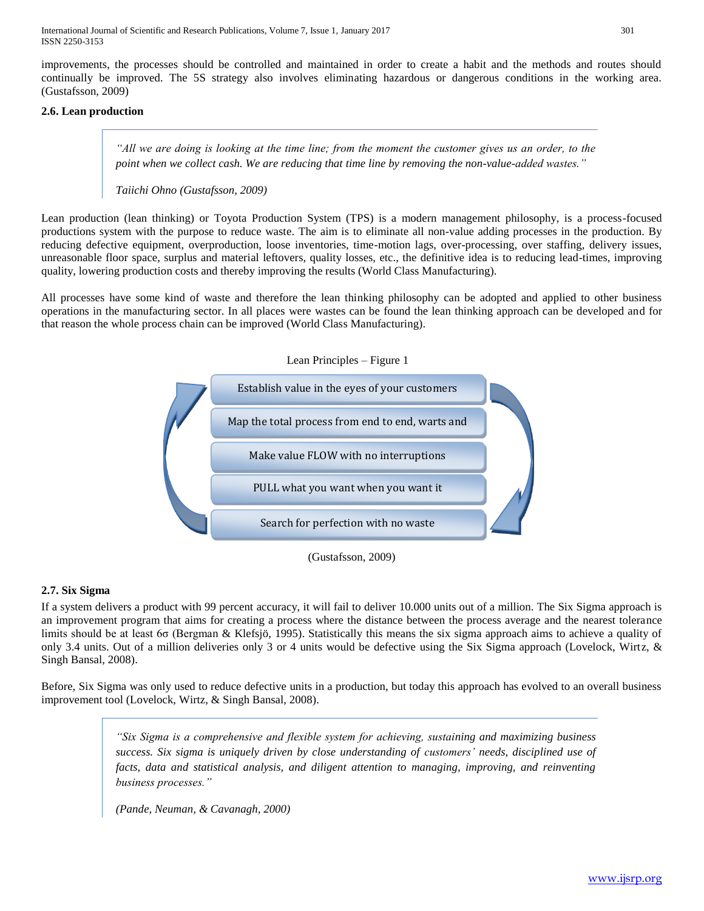International Journal of Scientific and Research Publications, Volume 7, Issue 1, January 2017 301 ISSN 2250-3153

improvements, the processes should be controlled and maintained in order to create a habit and the methods and routes should continually be improved. The 5S strategy also involves eliminating hazardous or dangerous conditions in the working area. (Gustafsson, 2009)

### **2.6. Lean production**

*"All we are doing is looking at the time line; from the moment the customer gives us an order, to the point when we collect cash. We are reducing that time line by removing the non-value-added wastes."*

*Taiichi Ohno (Gustafsson, 2009)*

Lean production (lean thinking) or Toyota Production System (TPS) is a modern management philosophy, is a process-focused productions system with the purpose to reduce waste. The aim is to eliminate all non-value adding processes in the production. By reducing defective equipment, overproduction, loose inventories, time-motion lags, over-processing, over staffing, delivery issues, unreasonable floor space, surplus and material leftovers, quality losses, etc., the definitive idea is to reducing lead-times, improving quality, lowering production costs and thereby improving the results (World Class Manufacturing).

All processes have some kind of waste and therefore the lean thinking philosophy can be adopted and applied to other business operations in the manufacturing sector. In all places were wastes can be found the lean thinking approach can be developed and for that reason the whole process chain can be improved (World Class Manufacturing).



(Gustafsson, 2009)

## **2.7. Six Sigma**

If a system delivers a product with 99 percent accuracy, it will fail to deliver 10.000 units out of a million. The Six Sigma approach is an improvement program that aims for creating a process where the distance between the process average and the nearest tolerance limits should be at least 6σ (Bergman & Klefsjö, 1995). Statistically this means the six sigma approach aims to achieve a quality of only 3.4 units. Out of a million deliveries only 3 or 4 units would be defective using the Six Sigma approach (Lovelock, Wirtz, & Singh Bansal, 2008).

Before, Six Sigma was only used to reduce defective units in a production, but today this approach has evolved to an overall business improvement tool (Lovelock, Wirtz, & Singh Bansal, 2008).

> *"Six Sigma is a comprehensive and flexible system for achieving, sustaining and maximizing business success. Six sigma is uniquely driven by close understanding of customers' needs, disciplined use of facts, data and statistical analysis, and diligent attention to managing, improving, and reinventing business processes."*

*(Pande, Neuman, & Cavanagh, 2000)*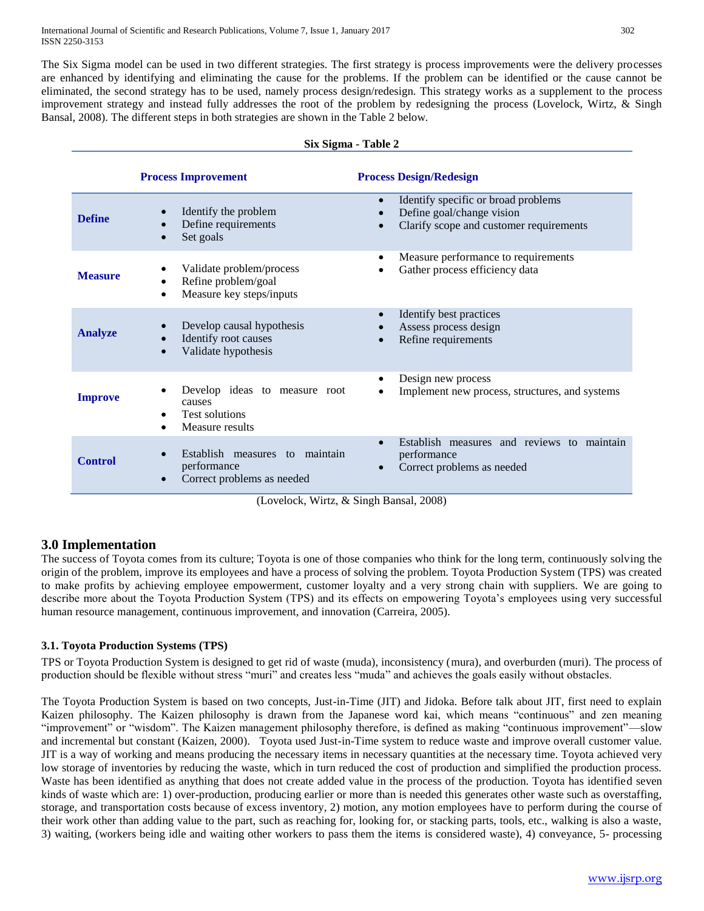The Six Sigma model can be used in two different strategies. The first strategy is process improvements were the delivery processes are enhanced by identifying and eliminating the cause for the problems. If the problem can be identified or the cause cannot be eliminated, the second strategy has to be used, namely process design/redesign. This strategy works as a supplement to the process improvement strategy and instead fully addresses the root of the problem by redesigning the process (Lovelock, Wirtz, & Singh Bansal, 2008). The different steps in both strategies are shown in the Table 2 below.

#### **Six Sigma - Table 2**

|                | <b>Process Improvement</b>                                                          | <b>Process Design/Redesign</b>                                                                              |
|----------------|-------------------------------------------------------------------------------------|-------------------------------------------------------------------------------------------------------------|
| <b>Define</b>  | Identify the problem<br>Define requirements<br>Set goals                            | Identify specific or broad problems<br>Define goal/change vision<br>Clarify scope and customer requirements |
| <b>Measure</b> | Validate problem/process<br>Refine problem/goal<br>Measure key steps/inputs         | Measure performance to requirements<br>Gather process efficiency data                                       |
| <b>Analyze</b> | Develop causal hypothesis<br>Identify root causes<br>Validate hypothesis            | Identify best practices<br>Assess process design<br>Refine requirements                                     |
| <b>Improve</b> | Develop ideas to measure root<br>causes<br><b>Test solutions</b><br>Measure results | Design new process<br>Implement new process, structures, and systems                                        |
| <b>Control</b> | Establish measures to maintain<br>performance<br>Correct problems as needed         | Establish measures and reviews to maintain<br>performance<br>Correct problems as needed                     |

(Lovelock, Wirtz, & Singh Bansal, 2008)

# **3.0 Implementation**

The success of Toyota comes from its culture; Toyota is one of those companies who think for the long term, continuously solving the origin of the problem, improve its employees and have a process of solving the problem. Toyota Production System (TPS) was created to make profits by achieving employee empowerment, customer loyalty and a very strong chain with suppliers. We are going to describe more about the Toyota Production System (TPS) and its effects on empowering Toyota's employees using very successful human resource management, continuous improvement, and innovation (Carreira, 2005).

## **3.1. Toyota Production Systems (TPS)**

TPS or Toyota Production System is designed to get rid of waste (muda), inconsistency [\(mura\)](http://en.wikipedia.org/wiki/Mura_%28Japanese_term%29), and overburden [\(muri\)](http://en.wikipedia.org/wiki/Muri_%28Japanese_term%29). The process of production should be flexible without stress "muri" and creates less "muda" and achieves the goals easily without obstacles.

The Toyota Production System is based on two concepts, Just-in-Time (JIT) and Jidoka. Before talk about JIT, first need to explain Kaizen philosophy. The Kaizen philosophy is drawn from the Japanese word kai, which means "continuous" and zen meaning "improvement" or "wisdom". The Kaizen management philosophy therefore, is defined as making "continuous improvement"—slow and incremental but constant (Kaizen, 2000). Toyota used Just-in-Time system to reduce waste and improve overall customer value. JIT is a way of working and means producing the necessary items in necessary quantities at the necessary time. Toyota achieved very low storage of inventories by reducing the waste, which in turn reduced the cost of production and simplified the production process. Waste has been identified as anything that does not create added value in the process of the production. Toyota has identified seven kinds of waste which are: 1) over-production, producing earlier or more than is needed this generates other waste such as overstaffing, storage, and transportation costs because of excess inventory, 2) motion, any motion employees have to perform during the course of their work other than adding value to the part, such as reaching for, looking for, or stacking parts, tools, etc., walking is also a waste, 3) waiting, (workers being idle and waiting other workers to pass them the items is considered waste), 4) conveyance, 5- processing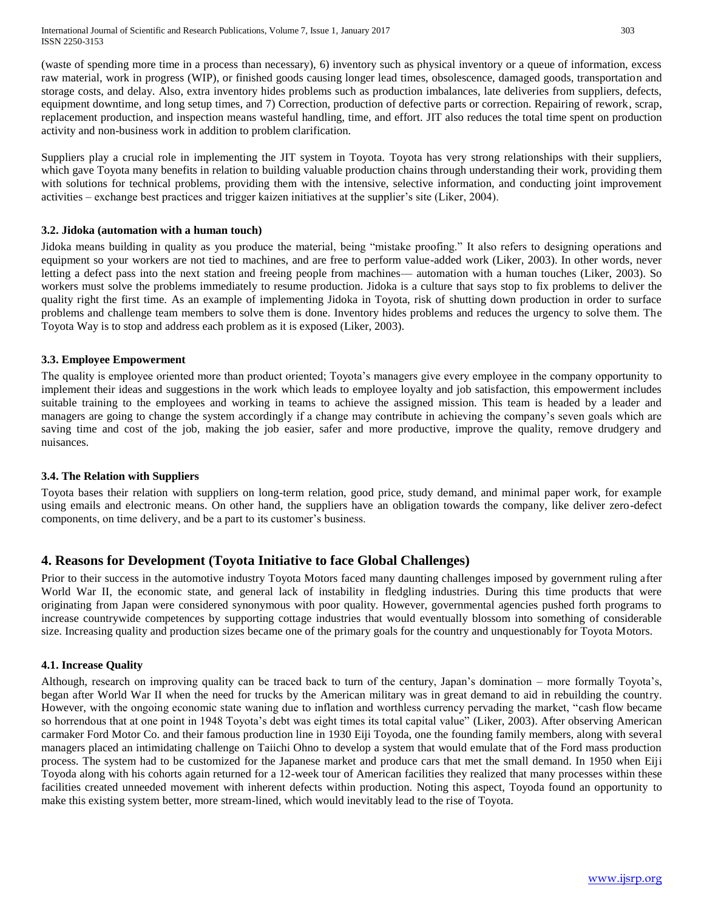(waste of spending more time in a process than necessary), 6) inventory such as physical inventory or a queue of information, excess raw material, work in progress (WIP), or finished goods causing longer lead times, obsolescence, damaged goods, transportation and storage costs, and delay. Also, extra inventory hides problems such as production imbalances, late deliveries from suppliers, defects, equipment downtime, and long setup times, and 7) Correction, production of defective parts or correction. Repairing of rework, scrap, replacement production, and inspection means wasteful handling, time, and effort. JIT also reduces the total time spent on production activity and non-business work in addition to problem clarification.

Suppliers play a crucial role in implementing the JIT system in Toyota. Toyota has very strong relationships with their suppliers, which gave Toyota many benefits in relation to building valuable production chains through understanding their work, providing them with solutions for technical problems, providing them with the intensive, selective information, and conducting joint improvement activities – exchange best practices and trigger kaizen initiatives at the supplier's site (Liker, 2004).

## **3.2. Jidoka (automation with a human touch)**

Jidoka means building in quality as you produce the material, being "mistake proofing." It also refers to designing operations and equipment so your workers are not tied to machines, and are free to perform value-added work (Liker, 2003). In other words, never letting a defect pass into the next station and freeing people from machines— automation with a human touches (Liker, 2003). So workers must solve the problems immediately to resume production. Jidoka is a culture that says stop to fix problems to deliver the quality right the first time. As an example of implementing Jidoka in Toyota, risk of shutting down production in order to surface problems and challenge team members to solve them is done. Inventory hides problems and reduces the urgency to solve them. The Toyota Way is to stop and address each problem as it is exposed (Liker, 2003).

#### **3.3. Employee Empowerment**

The quality is employee oriented more than product oriented; Toyota's managers give every employee in the company opportunity to implement their ideas and suggestions in the work which leads to employee loyalty and job satisfaction, this empowerment includes suitable training to the employees and working in teams to achieve the assigned mission. This team is headed by a leader and managers are going to change the system accordingly if a change may contribute in achieving the company's seven goals which are saving time and cost of the job, making the job easier, safer and more productive, improve the quality, remove drudgery and nuisances.

#### **3.4. The Relation with Suppliers**

Toyota bases their relation with suppliers on long-term relation, good price, study demand, and minimal paper work, for example using emails and electronic means. On other hand, the suppliers have an obligation towards the company, like deliver zero-defect components, on time delivery, and be a part to its customer's business.

# **4. Reasons for Development (Toyota Initiative to face Global Challenges)**

Prior to their success in the automotive industry Toyota Motors faced many daunting challenges imposed by government ruling after World War II, the economic state, and general lack of instability in fledgling industries. During this time products that were originating from Japan were considered synonymous with poor quality. However, governmental agencies pushed forth programs to increase countrywide competences by supporting cottage industries that would eventually blossom into something of considerable size. Increasing quality and production sizes became one of the primary goals for the country and unquestionably for Toyota Motors.

## **4.1. Increase Quality**

Although, research on improving quality can be traced back to turn of the century, Japan's domination – more formally Toyota's, began after World War II when the need for trucks by the American military was in great demand to aid in rebuilding the country. However, with the ongoing economic state waning due to inflation and worthless currency pervading the market, "cash flow became so horrendous that at one point in 1948 Toyota's debt was eight times its total capital value" (Liker, 2003). After observing American carmaker Ford Motor Co. and their famous production line in 1930 Eiji Toyoda, one the founding family members, along with several managers placed an intimidating challenge on Taiichi Ohno to develop a system that would emulate that of the Ford mass production process. The system had to be customized for the Japanese market and produce cars that met the small demand. In 1950 when Eiji Toyoda along with his cohorts again returned for a 12-week tour of American facilities they realized that many processes within these facilities created unneeded movement with inherent defects within production. Noting this aspect, Toyoda found an opportunity to make this existing system better, more stream-lined, which would inevitably lead to the rise of Toyota.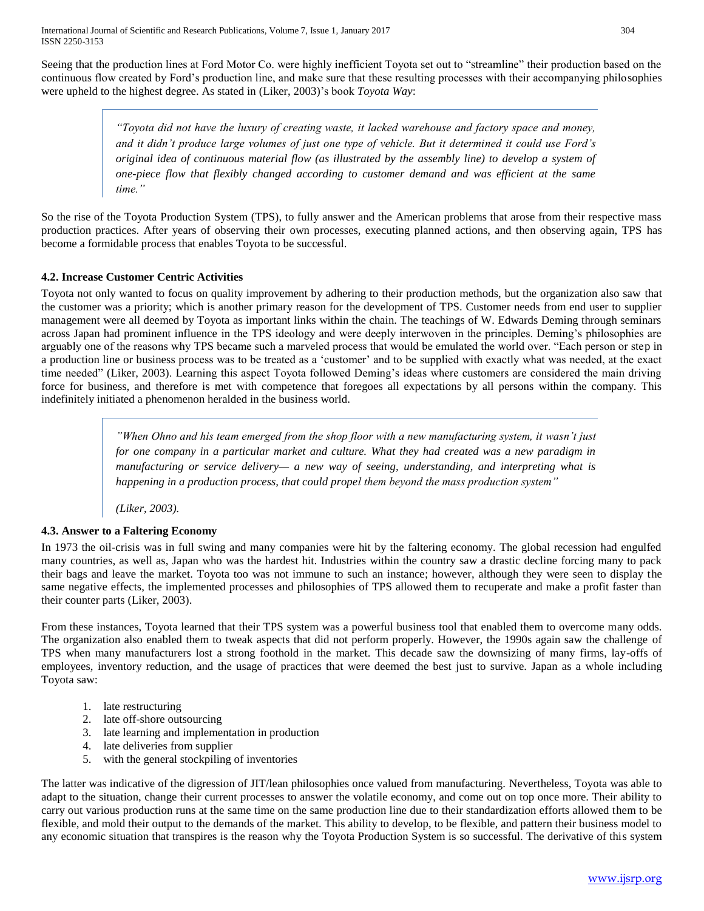Seeing that the production lines at Ford Motor Co. were highly inefficient Toyota set out to "streamline" their production based on the continuous flow created by Ford's production line, and make sure that these resulting processes with their accompanying philosophies were upheld to the highest degree. As stated in (Liker, 2003)'s book *Toyota Way*:

> *"Toyota did not have the luxury of creating waste, it lacked warehouse and factory space and money, and it didn't produce large volumes of just one type of vehicle. But it determined it could use Ford's original idea of continuous material flow (as illustrated by the assembly line) to develop a system of one-piece flow that flexibly changed according to customer demand and was efficient at the same time."*

So the rise of the Toyota Production System (TPS), to fully answer and the American problems that arose from their respective mass production practices. After years of observing their own processes, executing planned actions, and then observing again, TPS has become a formidable process that enables Toyota to be successful.

# **4.2. Increase Customer Centric Activities**

Toyota not only wanted to focus on quality improvement by adhering to their production methods, but the organization also saw that the customer was a priority; which is another primary reason for the development of TPS. Customer needs from end user to supplier management were all deemed by Toyota as important links within the chain. The teachings of W. Edwards Deming through seminars across Japan had prominent influence in the TPS ideology and were deeply interwoven in the principles. Deming's philosophies are arguably one of the reasons why TPS became such a marveled process that would be emulated the world over. "Each person or step in a production line or business process was to be treated as a 'customer' and to be supplied with exactly what was needed, at the exact time needed" (Liker, 2003). Learning this aspect Toyota followed Deming's ideas where customers are considered the main driving force for business, and therefore is met with competence that foregoes all expectations by all persons within the company. This indefinitely initiated a phenomenon heralded in the business world.

> *"When Ohno and his team emerged from the shop floor with a new manufacturing system, it wasn't just for one company in a particular market and culture. What they had created was a new paradigm in manufacturing or service delivery— a new way of seeing, understanding, and interpreting what is happening in a production process, that could propel them beyond the mass production system"*

*(Liker, 2003).*

## **4.3. Answer to a Faltering Economy**

In 1973 the oil-crisis was in full swing and many companies were hit by the faltering economy. The global recession had engulfed many countries, as well as, Japan who was the hardest hit. Industries within the country saw a drastic decline forcing many to pack their bags and leave the market. Toyota too was not immune to such an instance; however, although they were seen to display the same negative effects, the implemented processes and philosophies of TPS allowed them to recuperate and make a profit faster than their counter parts (Liker, 2003).

From these instances, Toyota learned that their TPS system was a powerful business tool that enabled them to overcome many odds. The organization also enabled them to tweak aspects that did not perform properly. However, the 1990s again saw the challenge of TPS when many manufacturers lost a strong foothold in the market. This decade saw the downsizing of many firms, lay-offs of employees, inventory reduction, and the usage of practices that were deemed the best just to survive. Japan as a whole including Toyota saw:

- 1. late restructuring
- 2. late off-shore outsourcing
- 3. late learning and implementation in production
- 4. late deliveries from supplier
- 5. with the general stockpiling of inventories

The latter was indicative of the digression of JIT/lean philosophies once valued from manufacturing. Nevertheless, Toyota was able to adapt to the situation, change their current processes to answer the volatile economy, and come out on top once more. Their ability to carry out various production runs at the same time on the same production line due to their standardization efforts allowed them to be flexible, and mold their output to the demands of the market. This ability to develop, to be flexible, and pattern their business model to any economic situation that transpires is the reason why the Toyota Production System is so successful. The derivative of this system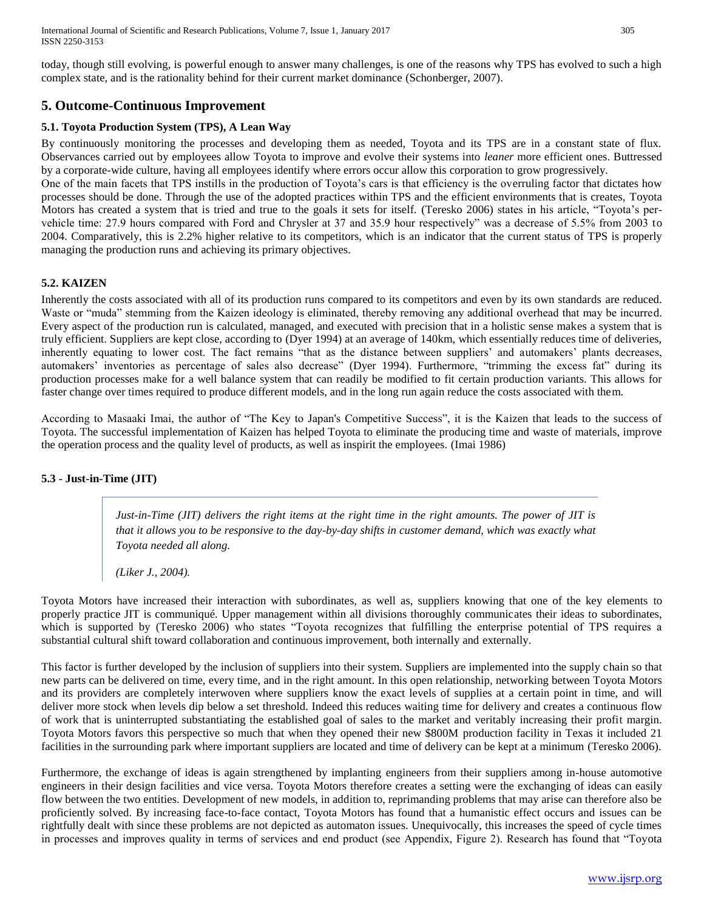International Journal of Scientific and Research Publications, Volume 7, Issue 1, January 2017 305 ISSN 2250-3153

today, though still evolving, is powerful enough to answer many challenges, is one of the reasons why TPS has evolved to such a high complex state, and is the rationality behind for their current market dominance (Schonberger, 2007).

# **5. Outcome-Continuous Improvement**

## **5.1. Toyota Production System (TPS), A Lean Way**

By continuously monitoring the processes and developing them as needed, Toyota and its TPS are in a constant state of flux. Observances carried out by employees allow Toyota to improve and evolve their systems into *leaner* more efficient ones. Buttressed by a corporate-wide culture, having all employees identify where errors occur allow this corporation to grow progressively.

One of the main facets that TPS instills in the production of Toyota's cars is that efficiency is the overruling factor that dictates how processes should be done. Through the use of the adopted practices within TPS and the efficient environments that is creates, Toyota Motors has created a system that is tried and true to the goals it sets for itself. (Teresko 2006) states in his article, "Toyota's pervehicle time: 27.9 hours compared with Ford and Chrysler at 37 and 35.9 hour respectively" was a decrease of 5.5% from 2003 to 2004. Comparatively, this is 2.2% higher relative to its competitors, which is an indicator that the current status of TPS is properly managing the production runs and achieving its primary objectives.

## **5.2. KAIZEN**

Inherently the costs associated with all of its production runs compared to its competitors and even by its own standards are reduced. Waste or "muda" stemming from the Kaizen ideology is eliminated, thereby removing any additional overhead that may be incurred. Every aspect of the production run is calculated, managed, and executed with precision that in a holistic sense makes a system that is truly efficient. Suppliers are kept close, according to (Dyer 1994) at an average of 140km, which essentially reduces time of deliveries, inherently equating to lower cost. The fact remains "that as the distance between suppliers' and automakers' plants decreases, automakers' inventories as percentage of sales also decrease" (Dyer 1994). Furthermore, "trimming the excess fat" during its production processes make for a well balance system that can readily be modified to fit certain production variants. This allows for faster change over times required to produce different models, and in the long run again reduce the costs associated with them.

According to Masaaki Imai, the author of "The Key to Japan's Competitive Success", it is the Kaizen that leads to the success of Toyota. The successful implementation of Kaizen has helped Toyota to eliminate the producing time and waste of materials, improve the operation process and the quality level of products, as well as inspirit the employees. (Imai 1986)

#### **5.3 - Just-in-Time (JIT)**

*Just-in-Time (JIT) delivers the right items at the right time in the right amounts. The power of JIT is that it allows you to be responsive to the day-by-day shifts in customer demand, which was exactly what Toyota needed all along.*

*(Liker J., 2004).*

Toyota Motors have increased their interaction with subordinates, as well as, suppliers knowing that one of the key elements to properly practice JIT is communiqué. Upper management within all divisions thoroughly communicates their ideas to subordinates, which is supported by (Teresko 2006) who states "Toyota recognizes that fulfilling the enterprise potential of TPS requires a substantial cultural shift toward collaboration and continuous improvement, both internally and externally.

This factor is further developed by the inclusion of suppliers into their system. Suppliers are implemented into the supply chain so that new parts can be delivered on time, every time, and in the right amount. In this open relationship, networking between Toyota Motors and its providers are completely interwoven where suppliers know the exact levels of supplies at a certain point in time, and will deliver more stock when levels dip below a set threshold. Indeed this reduces waiting time for delivery and creates a continuous flow of work that is uninterrupted substantiating the established goal of sales to the market and veritably increasing their profit margin. Toyota Motors favors this perspective so much that when they opened their new \$800M production facility in Texas it included 21 facilities in the surrounding park where important suppliers are located and time of delivery can be kept at a minimum (Teresko 2006).

Furthermore, the exchange of ideas is again strengthened by implanting engineers from their suppliers among in-house automotive engineers in their design facilities and vice versa. Toyota Motors therefore creates a setting were the exchanging of ideas can easily flow between the two entities. Development of new models, in addition to, reprimanding problems that may arise can therefore also be proficiently solved. By increasing face-to-face contact, Toyota Motors has found that a humanistic effect occurs and issues can be rightfully dealt with since these problems are not depicted as automaton issues. Unequivocally, this increases the speed of cycle times in processes and improves quality in terms of services and end product (see Appendix, Figure 2). Research has found that "Toyota"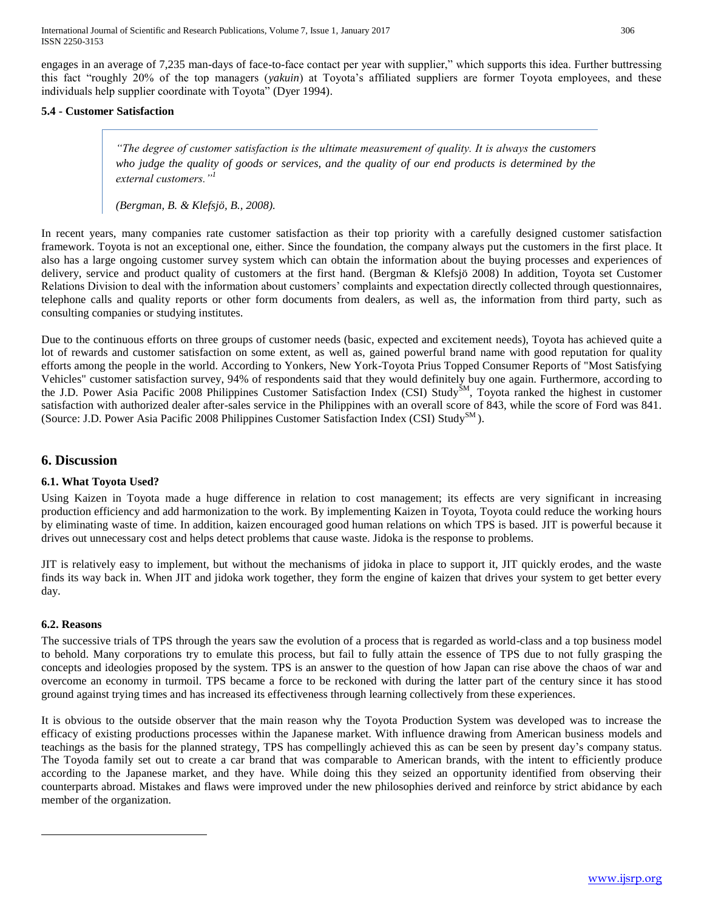International Journal of Scientific and Research Publications, Volume 7, Issue 1, January 2017 306 ISSN 2250-3153

engages in an average of 7,235 man-days of face-to-face contact per year with supplier," which supports this idea. Further buttressing this fact "roughly 20% of the top managers (*yakuin*) at Toyota's affiliated suppliers are former Toyota employees, and these individuals help supplier coordinate with Toyota" (Dyer 1994).

#### **5.4 - Customer Satisfaction**

*"The degree of customer satisfaction is the ultimate measurement of quality. It is always the customers who judge the quality of goods or services, and the quality of our end products is determined by the external customers."<sup>1</sup>*

*(Bergman, B. & Klefsjö, B., 2008).*

In recent years, many companies rate customer satisfaction as their top priority with a carefully designed customer satisfaction framework. Toyota is not an exceptional one, either. Since the foundation, the company always put the customers in the first place. It also has a large ongoing customer survey system which can obtain the information about the buying processes and experiences of delivery, service and product quality of customers at the first hand. (Bergman & Klefsjö 2008) In addition, Toyota set Customer Relations Division to deal with the information about customers' complaints and expectation directly collected through questionnaires, telephone calls and quality reports or other form documents from dealers, as well as, the information from third party, such as consulting companies or studying institutes.

Due to the continuous efforts on three groups of customer needs (basic, expected and excitement needs), Toyota has achieved quite a lot of rewards and customer satisfaction on some extent, as well as, gained powerful brand name with good reputation for quality efforts among the people in the world. According to Yonkers, New York-Toyota Prius Topped Consumer Reports of "Most Satisfying Vehicles" customer satisfaction survey, 94% of respondents said that they would definitely buy one again. Furthermore, according to the J.D. Power Asia Pacific 2008 Philippines Customer Satisfaction Index (CSI) Study<sup>SM</sup>, Toyota ranked the highest in customer satisfaction with authorized dealer after-sales service in the Philippines with an overall score of 843, while the score of Ford was 841. (Source: J.D. Power Asia Pacific 2008 Philippines Customer Satisfaction Index (CSI) Study<sup>SM</sup>).

## **6. Discussion**

#### **6.1. What Toyota Used?**

Using Kaizen in Toyota made a huge difference in relation to cost management; its effects are very significant in increasing production efficiency and add harmonization to the work. By implementing Kaizen in Toyota, Toyota could reduce the working hours by eliminating waste of time. In addition, kaizen encouraged good human relations on which TPS is based. JIT is powerful because it drives out unnecessary cost and helps detect problems that cause waste. Jidoka is the response to problems.

JIT is relatively easy to implement, but without the mechanisms of jidoka in place to support it, JIT quickly erodes, and the waste finds its way back in. When JIT and jidoka work together, they form the engine of kaizen that drives your system to get better every day.

#### **6.2. Reasons**

 $\overline{a}$ 

The successive trials of TPS through the years saw the evolution of a process that is regarded as world-class and a top business model to behold. Many corporations try to emulate this process, but fail to fully attain the essence of TPS due to not fully grasping the concepts and ideologies proposed by the system. TPS is an answer to the question of how Japan can rise above the chaos of war and overcome an economy in turmoil. TPS became a force to be reckoned with during the latter part of the century since it has stood ground against trying times and has increased its effectiveness through learning collectively from these experiences.

It is obvious to the outside observer that the main reason why the Toyota Production System was developed was to increase the efficacy of existing productions processes within the Japanese market. With influence drawing from American business models and teachings as the basis for the planned strategy, TPS has compellingly achieved this as can be seen by present day's company status. The Toyoda family set out to create a car brand that was comparable to American brands, with the intent to efficiently produce according to the Japanese market, and they have. While doing this they seized an opportunity identified from observing their counterparts abroad. Mistakes and flaws were improved under the new philosophies derived and reinforce by strict abidance by each member of the organization.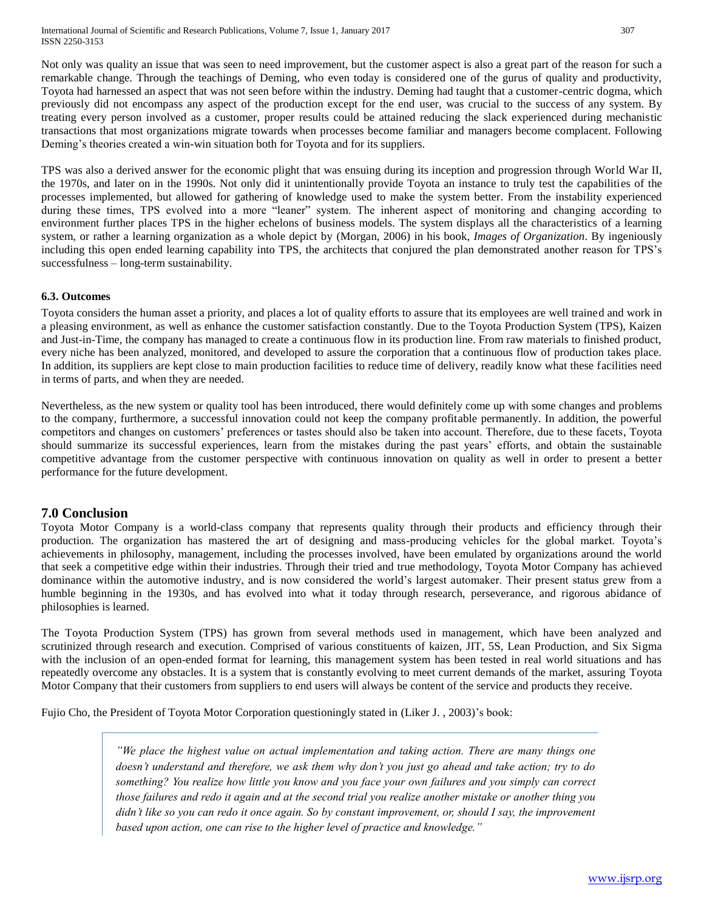Not only was quality an issue that was seen to need improvement, but the customer aspect is also a great part of the reason for such a remarkable change. Through the teachings of Deming, who even today is considered one of the gurus of quality and productivity, Toyota had harnessed an aspect that was not seen before within the industry. Deming had taught that a customer-centric dogma, which previously did not encompass any aspect of the production except for the end user, was crucial to the success of any system. By treating every person involved as a customer, proper results could be attained reducing the slack experienced during mechanistic transactions that most organizations migrate towards when processes become familiar and managers become complacent. Following Deming's theories created a win-win situation both for Toyota and for its suppliers.

TPS was also a derived answer for the economic plight that was ensuing during its inception and progression through World War II, the 1970s, and later on in the 1990s. Not only did it unintentionally provide Toyota an instance to truly test the capabilities of the processes implemented, but allowed for gathering of knowledge used to make the system better. From the instability experienced during these times, TPS evolved into a more "leaner" system. The inherent aspect of monitoring and changing according to environment further places TPS in the higher echelons of business models. The system displays all the characteristics of a learning system, or rather a learning organization as a whole depict by (Morgan, 2006) in his book, *Images of Organization*. By ingeniously including this open ended learning capability into TPS, the architects that conjured the plan demonstrated another reason for TPS's successfulness – long-term sustainability.

#### **6.3. Outcomes**

Toyota considers the human asset a priority, and places a lot of quality efforts to assure that its employees are well trained and work in a pleasing environment, as well as enhance the customer satisfaction constantly. Due to the Toyota Production System (TPS), Kaizen and Just-in-Time, the company has managed to create a continuous flow in its production line. From raw materials to finished product, every niche has been analyzed, monitored, and developed to assure the corporation that a continuous flow of production takes place. In addition, its suppliers are kept close to main production facilities to reduce time of delivery, readily know what these facilities need in terms of parts, and when they are needed.

Nevertheless, as the new system or quality tool has been introduced, there would definitely come up with some changes and problems to the company, furthermore, a successful innovation could not keep the company profitable permanently. In addition, the powerful competitors and changes on customers' preferences or tastes should also be taken into account. Therefore, due to these facets, Toyota should summarize its successful experiences, learn from the mistakes during the past years' efforts, and obtain the sustainable competitive advantage from the customer perspective with continuous innovation on quality as well in order to present a better performance for the future development.

# **7.0 Conclusion**

Toyota Motor Company is a world-class company that represents quality through their products and efficiency through their production. The organization has mastered the art of designing and mass-producing vehicles for the global market. Toyota's achievements in philosophy, management, including the processes involved, have been emulated by organizations around the world that seek a competitive edge within their industries. Through their tried and true methodology, Toyota Motor Company has achieved dominance within the automotive industry, and is now considered the world's largest automaker. Their present status grew from a humble beginning in the 1930s, and has evolved into what it today through research, perseverance, and rigorous abidance of philosophies is learned.

The Toyota Production System (TPS) has grown from several methods used in management, which have been analyzed and scrutinized through research and execution. Comprised of various constituents of kaizen, JIT, 5S, Lean Production, and Six Sigma with the inclusion of an open-ended format for learning, this management system has been tested in real world situations and has repeatedly overcome any obstacles. It is a system that is constantly evolving to meet current demands of the market, assuring Toyota Motor Company that their customers from suppliers to end users will always be content of the service and products they receive.

Fujio Cho, the President of Toyota Motor Corporation questioningly stated in (Liker J. , 2003)'s book:

*"We place the highest value on actual implementation and taking action. There are many things one doesn't understand and therefore, we ask them why don't you just go ahead and take action; try to do something? You realize how little you know and you face your own failures and you simply can correct those failures and redo it again and at the second trial you realize another mistake or another thing you didn't like so you can redo it once again. So by constant improvement, or, should I say, the improvement based upon action, one can rise to the higher level of practice and knowledge."*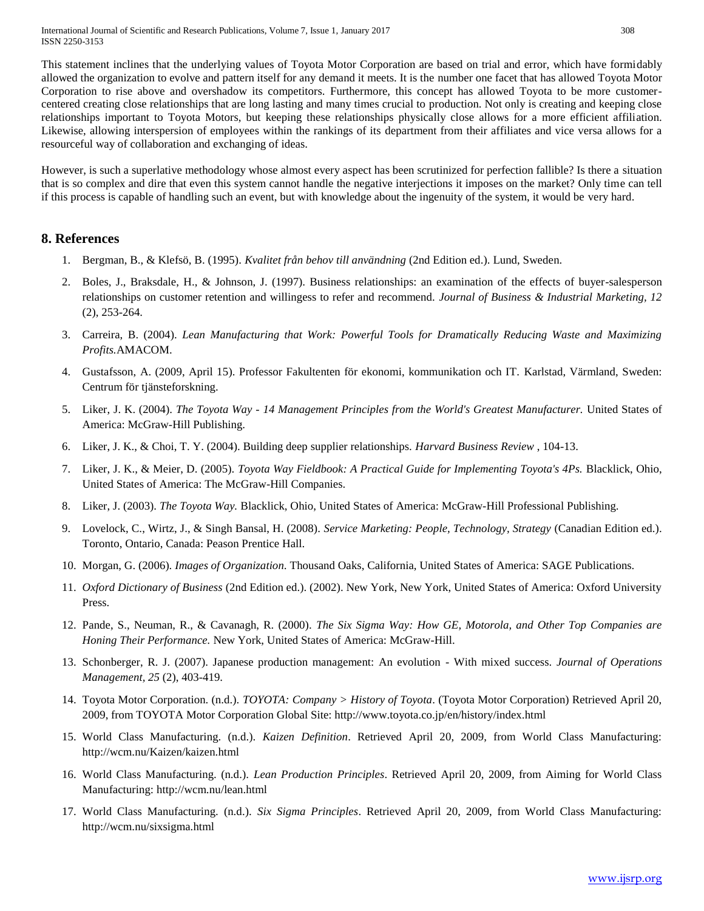This statement inclines that the underlying values of Toyota Motor Corporation are based on trial and error, which have formidably allowed the organization to evolve and pattern itself for any demand it meets. It is the number one facet that has allowed Toyota Motor Corporation to rise above and overshadow its competitors. Furthermore, this concept has allowed Toyota to be more customercentered creating close relationships that are long lasting and many times crucial to production. Not only is creating and keeping close relationships important to Toyota Motors, but keeping these relationships physically close allows for a more efficient affiliation. Likewise, allowing interspersion of employees within the rankings of its department from their affiliates and vice versa allows for a resourceful way of collaboration and exchanging of ideas.

However, is such a superlative methodology whose almost every aspect has been scrutinized for perfection fallible? Is there a situation that is so complex and dire that even this system cannot handle the negative interjections it imposes on the market? Only time can tell if this process is capable of handling such an event, but with knowledge about the ingenuity of the system, it would be very hard.

# **8. References**

- 1. Bergman, B., & Klefsö, B. (1995). *Kvalitet från behov till användning* (2nd Edition ed.). Lund, Sweden.
- 2. Boles, J., Braksdale, H., & Johnson, J. (1997). Business relationships: an examination of the effects of buyer-salesperson relationships on customer retention and willingess to refer and recommend. *Journal of Business & Industrial Marketing, 12* (2), 253-264.
- 3. Carreira, B. (2004). *Lean Manufacturing that Work: Powerful Tools for Dramatically Reducing Waste and Maximizing Profits.*AMACOM.
- 4. Gustafsson, A. (2009, April 15). Professor Fakultenten för ekonomi, kommunikation och IT. Karlstad, Värmland, Sweden: Centrum för tjänsteforskning.
- 5. Liker, J. K. (2004). *The Toyota Way - 14 Management Principles from the World's Greatest Manufacturer.* United States of America: McGraw-Hill Publishing.
- 6. Liker, J. K., & Choi, T. Y. (2004). Building deep supplier relationships. *Harvard Business Review* , 104-13.
- 7. Liker, J. K., & Meier, D. (2005). *Toyota Way Fieldbook: A Practical Guide for Implementing Toyota's 4Ps.* Blacklick, Ohio, United States of America: The McGraw-Hill Companies.
- 8. Liker, J. (2003). *The Toyota Way.* Blacklick, Ohio, United States of America: McGraw-Hill Professional Publishing.
- 9. Lovelock, C., Wirtz, J., & Singh Bansal, H. (2008). *Service Marketing: People, Technology, Strategy* (Canadian Edition ed.). Toronto, Ontario, Canada: Peason Prentice Hall.
- 10. Morgan, G. (2006). *Images of Organization.* Thousand Oaks, California, United States of America: SAGE Publications.
- 11. *Oxford Dictionary of Business* (2nd Edition ed.). (2002). New York, New York, United States of America: Oxford University Press.
- 12. Pande, S., Neuman, R., & Cavanagh, R. (2000). *The Six Sigma Way: How GE, Motorola, and Other Top Companies are Honing Their Performance.* New York, United States of America: McGraw-Hill.
- 13. Schonberger, R. J. (2007). Japanese production management: An evolution With mixed success. *Journal of Operations Management, 25* (2), 403-419.
- 14. Toyota Motor Corporation. (n.d.). *TOYOTA: Company > History of Toyota*. (Toyota Motor Corporation) Retrieved April 20, 2009, from TOYOTA Motor Corporation Global Site: http://www.toyota.co.jp/en/history/index.html
- 15. World Class Manufacturing. (n.d.). *Kaizen Definition*. Retrieved April 20, 2009, from World Class Manufacturing: http://wcm.nu/Kaizen/kaizen.html
- 16. World Class Manufacturing. (n.d.). *Lean Production Principles*. Retrieved April 20, 2009, from Aiming for World Class Manufacturing: http://wcm.nu/lean.html
- 17. World Class Manufacturing. (n.d.). *Six Sigma Principles*. Retrieved April 20, 2009, from World Class Manufacturing: http://wcm.nu/sixsigma.html